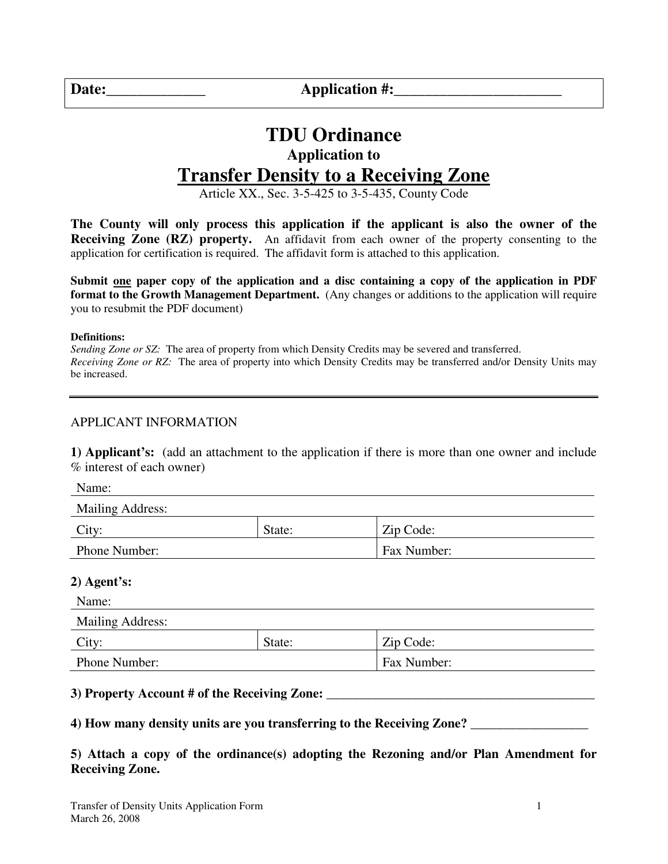**Date:\_\_\_\_\_\_\_\_\_\_\_\_\_ Application #:\_\_\_\_\_\_\_\_\_\_\_\_\_\_\_\_\_\_\_\_\_\_** 

# **TDU Ordinance Application to Transfer Density to a Receiving Zone**

Article XX., Sec. 3-5-425 to 3-5-435, County Code

**The County will only process this application if the applicant is also the owner of the Receiving Zone (RZ) property.** An affidavit from each owner of the property consenting to the application for certification is required. The affidavit form is attached to this application.

**Submit one paper copy of the application and a disc containing a copy of the application in PDF format to the Growth Management Department.** (Any changes or additions to the application will require you to resubmit the PDF document)

**Definitions:** 

*Sending Zone or SZ:* The area of property from which Density Credits may be severed and transferred. *Receiving Zone or RZ:* The area of property into which Density Credits may be transferred and/or Density Units may be increased.

#### APPLICANT INFORMATION

**1) Applicant's:** (add an attachment to the application if there is more than one owner and include % interest of each owner)

Name:

| Mailing Address: |        |             |
|------------------|--------|-------------|
| City:            | State: | Zip Code:   |
| Phone Number:    |        | Fax Number: |

#### **2) Agent's:**

| Name:                   |        |             |  |  |
|-------------------------|--------|-------------|--|--|
| <b>Mailing Address:</b> |        |             |  |  |
| City:                   | State: | Zip Code:   |  |  |
| Phone Number:           |        | Fax Number: |  |  |

#### **3) Property Account # of the Receiving Zone:** \_\_\_\_\_\_\_\_\_\_\_\_\_\_\_\_\_\_\_\_\_\_\_\_\_\_\_\_\_\_\_\_\_\_\_\_\_\_\_\_\_

**4) How many density units are you transferring to the Receiving Zone? \_\_\_\_\_\_\_\_\_\_\_\_\_\_\_\_\_\_** 

#### **5) Attach a copy of the ordinance(s) adopting the Rezoning and/or Plan Amendment for Receiving Zone.**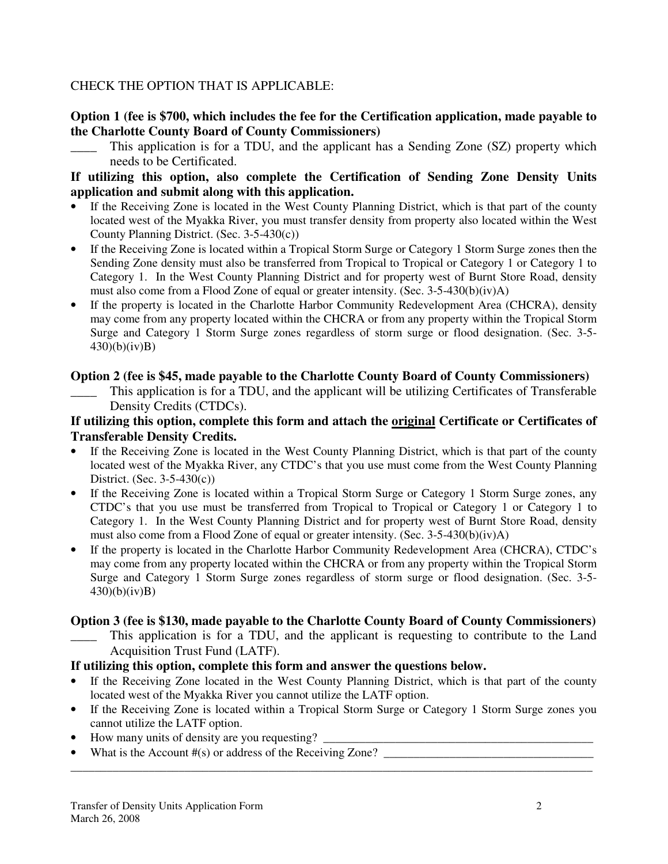### CHECK THE OPTION THAT IS APPLICABLE:

### **Option 1 (fee is \$700, which includes the fee for the Certification application, made payable to the Charlotte County Board of County Commissioners)**

This application is for a TDU, and the applicant has a Sending Zone (SZ) property which needs to be Certificated.

### **If utilizing this option, also complete the Certification of Sending Zone Density Units application and submit along with this application.**

- If the Receiving Zone is located in the West County Planning District, which is that part of the county located west of the Myakka River, you must transfer density from property also located within the West County Planning District. (Sec. 3-5-430(c))
- If the Receiving Zone is located within a Tropical Storm Surge or Category 1 Storm Surge zones then the Sending Zone density must also be transferred from Tropical to Tropical or Category 1 or Category 1 to Category 1. In the West County Planning District and for property west of Burnt Store Road, density must also come from a Flood Zone of equal or greater intensity. (Sec. 3-5-430(b)(iv)A)
- If the property is located in the Charlotte Harbor Community Redevelopment Area (CHCRA), density may come from any property located within the CHCRA or from any property within the Tropical Storm Surge and Category 1 Storm Surge zones regardless of storm surge or flood designation. (Sec. 3-5-  $(430)(b)(iv)B)$

### **Option 2 (fee is \$45, made payable to the Charlotte County Board of County Commissioners)**

This application is for a TDU, and the applicant will be utilizing Certificates of Transferable Density Credits (CTDCs).

### **If utilizing this option, complete this form and attach the original Certificate or Certificates of Transferable Density Credits.**

- If the Receiving Zone is located in the West County Planning District, which is that part of the county located west of the Myakka River, any CTDC's that you use must come from the West County Planning District. (Sec. 3-5-430(c))
- If the Receiving Zone is located within a Tropical Storm Surge or Category 1 Storm Surge zones, any CTDC's that you use must be transferred from Tropical to Tropical or Category 1 or Category 1 to Category 1. In the West County Planning District and for property west of Burnt Store Road, density must also come from a Flood Zone of equal or greater intensity. (Sec.  $3-5-430(b)(iv)A$ )
- If the property is located in the Charlotte Harbor Community Redevelopment Area (CHCRA), CTDC's may come from any property located within the CHCRA or from any property within the Tropical Storm Surge and Category 1 Storm Surge zones regardless of storm surge or flood designation. (Sec. 3-5- 430)(b)(iv)B)

#### **Option 3 (fee is \$130, made payable to the Charlotte County Board of County Commissioners)**

This application is for a TDU, and the applicant is requesting to contribute to the Land Acquisition Trust Fund (LATF).

### **If utilizing this option, complete this form and answer the questions below.**

- If the Receiving Zone located in the West County Planning District, which is that part of the county located west of the Myakka River you cannot utilize the LATF option.
- If the Receiving Zone is located within a Tropical Storm Surge or Category 1 Storm Surge zones you cannot utilize the LATF option.

\_\_\_\_\_\_\_\_\_\_\_\_\_\_\_\_\_\_\_\_\_\_\_\_\_\_\_\_\_\_\_\_\_\_\_\_\_\_\_\_\_\_\_\_\_\_\_\_\_\_\_\_\_\_\_\_\_\_\_\_\_\_\_\_\_\_\_\_\_\_\_\_\_\_\_\_\_\_\_\_\_\_\_\_\_\_\_

- How many units of density are you requesting? \_\_\_\_\_\_\_\_\_\_\_\_\_\_\_\_\_\_\_\_\_\_\_\_\_\_\_\_\_\_\_\_\_\_\_
- What is the Account  $\#(s)$  or address of the Receiving Zone?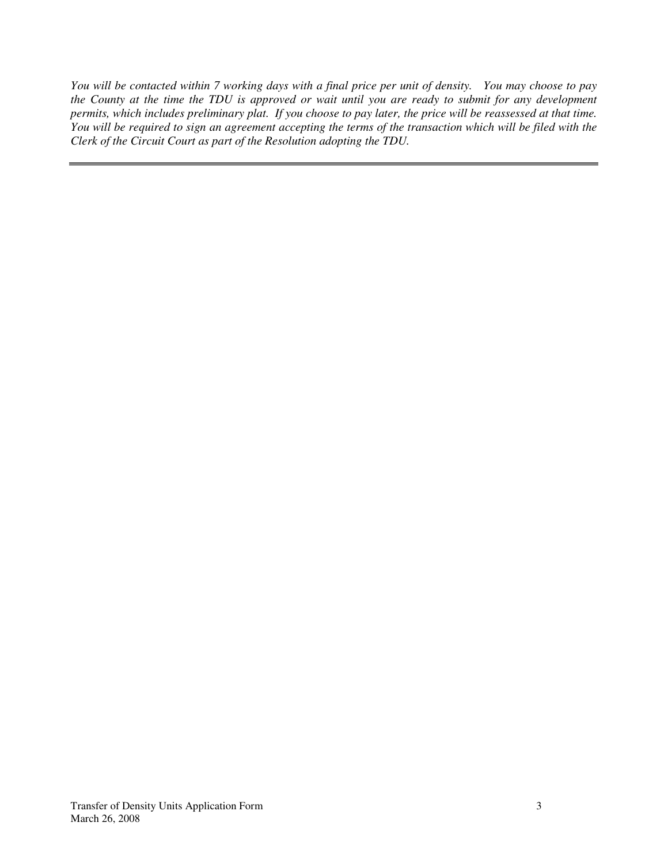*You will be contacted within 7 working days with a final price per unit of density. You may choose to pay the County at the time the TDU is approved or wait until you are ready to submit for any development permits, which includes preliminary plat. If you choose to pay later, the price will be reassessed at that time. You will be required to sign an agreement accepting the terms of the transaction which will be filed with the Clerk of the Circuit Court as part of the Resolution adopting the TDU.*